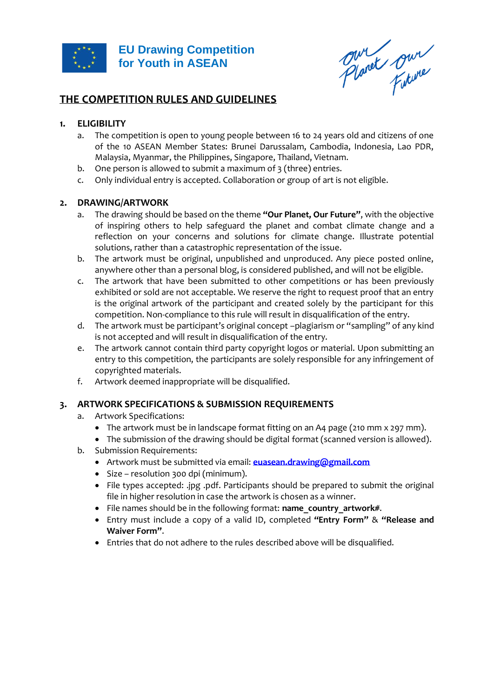

Planet pur

# **THE COMPETITION RULES AND GUIDELINES**

# **1. ELIGIBILITY**

- a. The competition is open to young people between 16 to 24 years old and citizens of one of the 10 ASEAN Member States: Brunei Darussalam, Cambodia, Indonesia, Lao PDR, Malaysia, Myanmar, the Philippines, Singapore, Thailand, Vietnam.
- b. One person is allowed to submit a maximum of 3 (three) entries.
- c. Only individual entry is accepted. Collaboration or group of art is not eligible.

### **2. DRAWING/ARTWORK**

- a. The drawing should be based on the theme **"Our Planet, Our Future"**, with the objective of inspiring others to help safeguard the planet and combat climate change and a reflection on your concerns and solutions for climate change. Illustrate potential solutions, rather than a catastrophic representation of the issue.
- b. The artwork must be original, unpublished and unproduced. Any piece posted online, anywhere other than a personal blog, is considered published, and will not be eligible.
- c. The artwork that have been submitted to other competitions or has been previously exhibited or sold are not acceptable. We reserve the right to request proof that an entry is the original artwork of the participant and created solely by the participant for this competition. Non-compliance to this rule will result in disqualification of the entry.
- d. The artwork must be participant's original concept –plagiarism or "sampling" of any kind is not accepted and will result in disqualification of the entry.
- e. The artwork cannot contain third party copyright logos or material. Upon submitting an entry to this competition, the participants are solely responsible for any infringement of copyrighted materials.
- f. Artwork deemed inappropriate will be disqualified.

### **3. ARTWORK SPECIFICATIONS & SUBMISSION REQUIREMENTS**

- a. Artwork Specifications:
	- The artwork must be in landscape format fitting on an A4 page (210 mm x 297 mm).
	- The submission of the drawing should be digital format (scanned version is allowed).
- b. Submission Requirements:
	- Artwork must be submitted via email: **[euasean.drawing@gmail.com](mailto:euasean.drawing@gmail.com)**
	- Size resolution 300 dpi (minimum).
	- File types accepted: .jpg .pdf. Participants should be prepared to submit the original file in higher resolution in case the artwork is chosen as a winner.
	- File names should be in the following format: **name\_country\_artwork#.**
	- Entry must include a copy of a valid ID, completed **"Entry Form"** & **"Release and Waiver Form"**.
	- Entries that do not adhere to the rules described above will be disqualified.